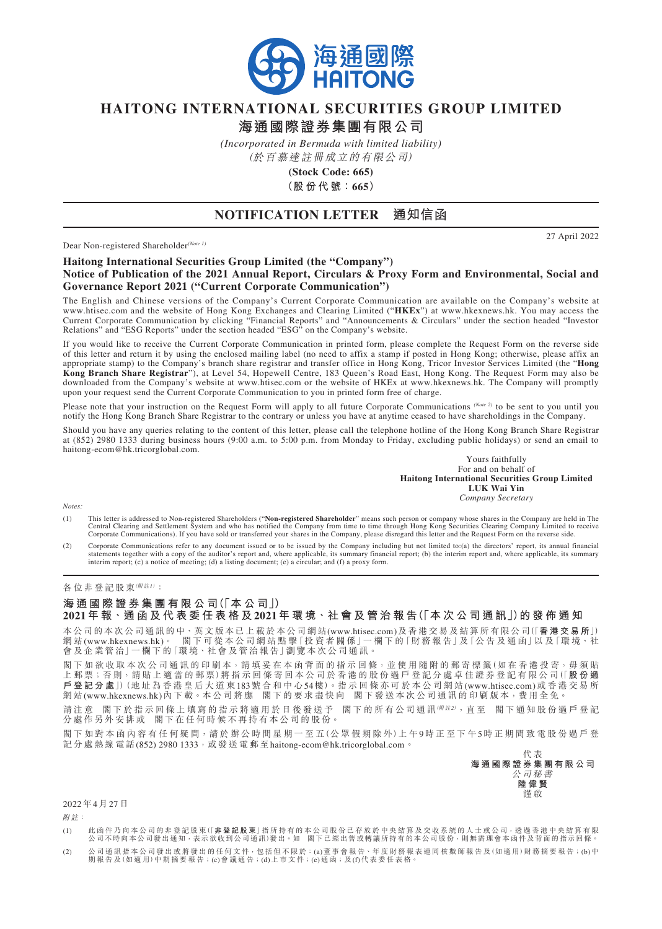

## **HAITONG INTERNATIONAL SECURITIES GROUP LIMITED**

**海通國際證券集團有限公司**

*(Incorporated in Bermuda with limited liability)*

(於百慕達註冊成立的有限公司)

**(Stock Code: 665) (股 份 代 號:665)**

### **NOTIFICATION LETTER 通知信函**

Dear Non-registered Shareholder*(Note 1)*

27 April 2022

#### **Haitong International Securities Group Limited (the "Company") Notice of Publication of the 2021 Annual Report, Circulars & Proxy Form and Environmental, Social and Governance Report 2021 ("Current Corporate Communication")**

The English and Chinese versions of the Company's Current Corporate Communication are available on the Company's website at www.htisec.com and the website of Hong Kong Exchanges and Clearing Limited ("**HKEx**") at www.hkexnews.hk. You may access the Current Corporate Communication by clicking "Financial Reports" and "Announcements & Circulars" under the section headed "Investor Relations" and "ESG Reports" under the section headed "ESG" on the Company's website.

If you would like to receive the Current Corporate Communication in printed form, please complete the Request Form on the reverse side of this letter and return it by using the enclosed mailing label (no need to affix a stamp if posted in Hong Kong; otherwise, please affix an appropriate stamp) to the Company's branch share registrar and transfer office in Hong Kong, Tricor Investor Services Limited (the "**Hong Kong Branch Share Registrar**"), at Level 54, Hopewell Centre, 183 Queen's Road East, Hong Kong. The Request Form may also be downloaded from the Company's website at www.htisec.com or the website of HKEx at www.hkexnews.hk. The Company will promptly upon your request send the Current Corporate Communication to you in printed form free of charge.

Please note that your instruction on the Request Form will apply to all future Corporate Communications *(Note 2)* to be sent to you until you notify the Hong Kong Branch Share Registrar to the contrary or unless you have at anytime ceased to have shareholdings in the Company.

Should you have any queries relating to the content of this letter, please call the telephone hotline of the Hong Kong Branch Share Registrar at (852) 2980 1333 during business hours (9:00 a.m. to 5:00 p.m. from Monday to Friday, excluding public holidays) or send an email to haitong-ecom@hk.tricorglobal.com.

> Yours faithfully For and on behalf of **Haitong International Securities Group Limited LUK Wai Yin** *Company Secretary*

*Notes:*

(1) This letter is addressed to Non-registered Shareholders ("**Non-registered Shareholder**" means such person or company whose shares in the Company are held in The Central Clearing and Settlement System and who has notified the Company from time to time through Hong Kong Securities Clearing Company Limited to receive<br>Corporate Communications). If you have sold or transferred your sha

(2) Corporate Communications refer to any document issued or to be issued by the Company including but not limited to:(a) the directors' report, its annual financial<br>statements together with a copy of the auditor's report interim report; (c) a notice of meeting; (d) a listing document; (e) a circular; and (f) a proxy form.

#### 各位非登記股東(附註1):

### **海 通 國 際 證 券 集 團 有 限 公 司(「本 公 司」)**

2021年 報 · 通函及代表委任表格及2021年環境 · 社會及管治報告(「本次公司通訊」)的發佈通知

本公司的本次公司通訊的中、英文版本已上載於本公司網站(www.htisec.com)及香港交易及結算所有限公司(「<mark>香港交易所</mark>」)<br>網站(www.hkexnews.hk)。 閣下可從本公司網站點擊「投資者關係」一欄下的「財務報告」及「公告及通函」以及「環境、社 图下可從本公司網站點擊「投資者關係」一欄下的「財務報告」及「公告及通函」以及「環境、社 會 及 企 業 管 治」一 欄 下 的「環 境、社 會 及 管 治 報 告」瀏 覽 本 次 公 司 通 訊。

閣下如欲收取本次公司通訊的印刷本,請填妥在本函背面的指示回條,並使用隨附的郵寄標籤(如在香港投寄,毋須貼 上 郵 票;否 則,請 貼 上 適 當 的 郵 票)將 指 示 回 條 寄 回 本 公 司 於 香 港 的 股 份 過 戶 登 記 分 處 卓 佳 證 券 登 記 有 限 公 司(「**股 份 過 戶 登 記 分 處**」)(地 址 為 香 港 皇 后 大 道 東183號 合 和 中 心54樓)。指 示 回 條 亦 可 於 本 公 司 網 站(www.htisec.com)或 香 港 交 易 所 網站(www.hkexnews.hk)內下載。本公司將應 閣下的要求盡快向 閣下發送本次公司通訊的印刷版本,費用全免。

請注意 閣下於指示回條上填寫的指示將適用於日後發送予 閣下的所有公司通訊(##2),直至 閣下通知股份過戶登記 分處作另外安排或 閣下在任何時候不再持有本公司的股份。

閣下如對本函內容有任何疑問,請於辦公時間星期一至五(公眾假期除外)上午9時正至下午5時正期間致電股份過戶登 記分處熱線電話(852) 2980 1333,或發送電郵至haitong-ecom@hk.tricorglobal.com。

代 表 **海 通 國 際 證 券 集 團 有 限 公 司** 公 司 秘 書 **陸 偉 賢** 謹 啟

2022年4月27日

附註:

- (1) 此 函 件 乃 向 本 公 司 的 非 登 記 股 東(「**非 登 記 股 東**」指 所 持 有 的 本 公 司 股 份 已 存 放 於 中 央 結 算 及 交 收 系 統 的 人 士 或 公 司,透 過 香 港 中 央 結 算 有 限 公司不時向本公司發出通知,表示欲收到公司通訊)發出。如 閣下已經出售或轉讓所持有的本公司股份,則無需理會本函件及背面的指示回條。
- (2) 公司通訊指本公司發出或將發出的任何文件,包括但不限於:(a)董事會報告、年度財務報表連同核數師報告及(如適用)財務摘要報告;(b)中 期 報 告 及(如 適 用)中 期 摘 要 報 告;(c)會 議 通 告;(d)上 市 文 件;(e)通 函;及(f)代 表 委 任 表 格。